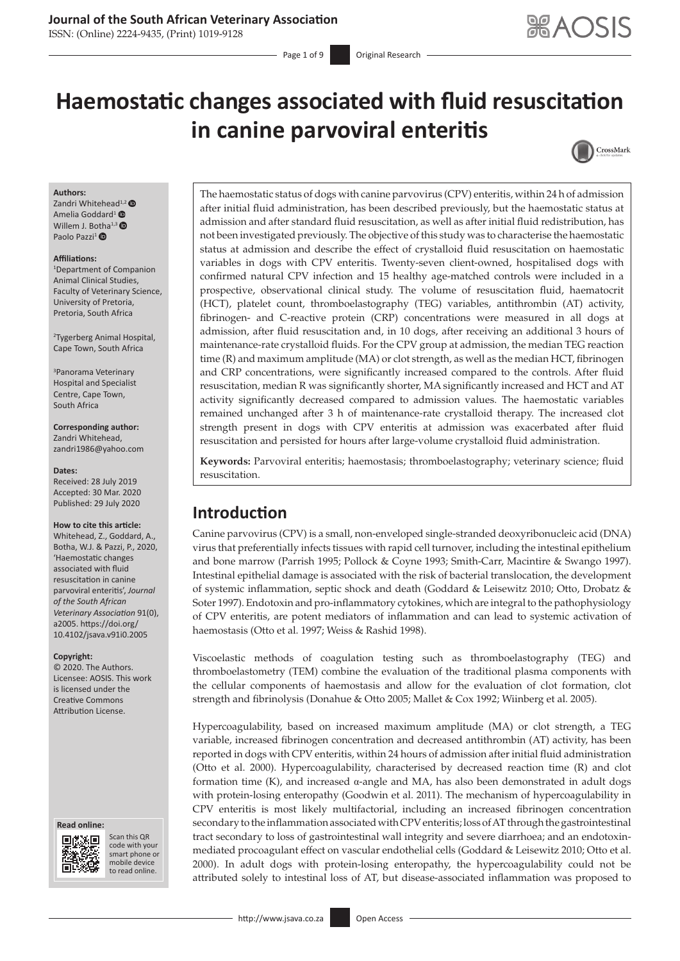### **Journal of the South African Veterinary Association**

ISSN: (Online) 2224-9435, (Print) 1019-9128

Page 1 of 9 **Original Research** 

# **Haemostatic changes associated with fluid resuscitation in canine parvoviral enteritis**



#### **Authors:**

Zan[d](https://orcid.org/0000-0002-8415-4802)ri Whitehead<sup>1,2</sup> Amelia Goddard<sup>1</sup> <sup>O</sup> Willem J. B[otha](https://orcid.org/0000-0002-5331-1422)<sup>1,[3](https://orcid.org/0000-0002-5774-0320)</sup> Paolo Pazzi<sup>1</sup>

#### **Affiliations:**

1 Department of Companion Animal Clinical Studies, Faculty of Veterinary Science, University of Pretoria, Pretoria, South Africa

2 Tygerberg Animal Hospital, Cape Town, South Africa

3 Panorama Veterinary Hospital and Specialist Centre, Cape Town, South Africa

**Corresponding author:** Zandri Whitehead, [zandri1986@yahoo.com](mailto:zandri1986@yahoo.com)

#### **Dates:**

Received: 28 July 2019 Accepted: 30 Mar. 2020 Published: 29 July 2020

#### **How to cite this article:**

Whitehead, Z., Goddard, A., Botha, W.J. & Pazzi, P., 2020, 'Haemostatic changes associated with fluid resuscitation in canine parvoviral enteritis', *Journal of the South African Veterinary Association* 91(0), a2005. [https://doi.org/](https://doi.org/10.4102/jsava.v91i0.2005) [10.4102/jsava.v91i0.2005](https://doi.org/10.4102/jsava.v91i0.2005)

#### **Copyright:**

© 2020. The Authors. Licensee: AOSIS. This work is licensed under the Creative Commons Attribution License.

#### **Read online: Read online:**



Scan this QR code with your Scan this QR<br>code with your<br>smart phone or<br>mobile device mobile device to read online. to read online.

The haemostatic status of dogs with canine parvovirus (CPV) enteritis, within 24 h of admission after initial fluid administration, has been described previously, but the haemostatic status at admission and after standard fluid resuscitation, as well as after initial fluid redistribution, has not been investigated previously. The objective of this study was to characterise the haemostatic status at admission and describe the effect of crystalloid fluid resuscitation on haemostatic variables in dogs with CPV enteritis. Twenty-seven client-owned, hospitalised dogs with confirmed natural CPV infection and 15 healthy age-matched controls were included in a prospective, observational clinical study. The volume of resuscitation fluid, haematocrit (HCT), platelet count, thromboelastography (TEG) variables, antithrombin (AT) activity, fibrinogen- and C-reactive protein (CRP) concentrations were measured in all dogs at admission, after fluid resuscitation and, in 10 dogs, after receiving an additional 3 hours of maintenance-rate crystalloid fluids. For the CPV group at admission, the median TEG reaction time (R) and maximum amplitude (MA) or clot strength, as well as the median HCT, fibrinogen and CRP concentrations, were significantly increased compared to the controls. After fluid resuscitation, median R was significantly shorter, MA significantly increased and HCT and AT activity significantly decreased compared to admission values. The haemostatic variables remained unchanged after 3 h of maintenance-rate crystalloid therapy. The increased clot strength present in dogs with CPV enteritis at admission was exacerbated after fluid resuscitation and persisted for hours after large-volume crystalloid fluid administration.

**Keywords:** Parvoviral enteritis; haemostasis; thromboelastography; veterinary science; fluid resuscitation.

# **Introduction**

Canine parvovirus (CPV) is a small, non-enveloped single-stranded deoxyribonucleic acid (DNA) virus that preferentially infects tissues with rapid cell turnover, including the intestinal epithelium and bone marrow (Parrish 1995; Pollock & Coyne 1993; Smith-Carr, Macintire & Swango 1997). Intestinal epithelial damage is associated with the risk of bacterial translocation, the development of systemic inflammation, septic shock and death (Goddard & Leisewitz 2010; Otto, Drobatz & Soter 1997). Endotoxin and pro-inflammatory cytokines, which are integral to the pathophysiology of CPV enteritis, are potent mediators of inflammation and can lead to systemic activation of haemostasis (Otto et al. 1997; Weiss & Rashid 1998).

Viscoelastic methods of coagulation testing such as thromboelastography (TEG) and thromboelastometry (TEM) combine the evaluation of the traditional plasma components with the cellular components of haemostasis and allow for the evaluation of clot formation, clot strength and fibrinolysis (Donahue & Otto 2005; Mallet & Cox 1992; Wiinberg et al. 2005).

Hypercoagulability, based on increased maximum amplitude (MA) or clot strength, a TEG variable, increased fibrinogen concentration and decreased antithrombin (AT) activity, has been reported in dogs with CPV enteritis, within 24 hours of admission after initial fluid administration (Otto et al. 2000). Hypercoagulability, characterised by decreased reaction time (R) and clot formation time (K), and increased α-angle and MA, has also been demonstrated in adult dogs with protein-losing enteropathy (Goodwin et al. 2011). The mechanism of hypercoagulability in CPV enteritis is most likely multifactorial, including an increased fibrinogen concentration secondary to the inflammation associated with CPV enteritis; loss of AT through the gastrointestinal tract secondary to loss of gastrointestinal wall integrity and severe diarrhoea; and an endotoxinmediated procoagulant effect on vascular endothelial cells (Goddard & Leisewitz 2010; Otto et al. 2000). In adult dogs with protein-losing enteropathy, the hypercoagulability could not be attributed solely to intestinal loss of AT, but disease-associated inflammation was proposed to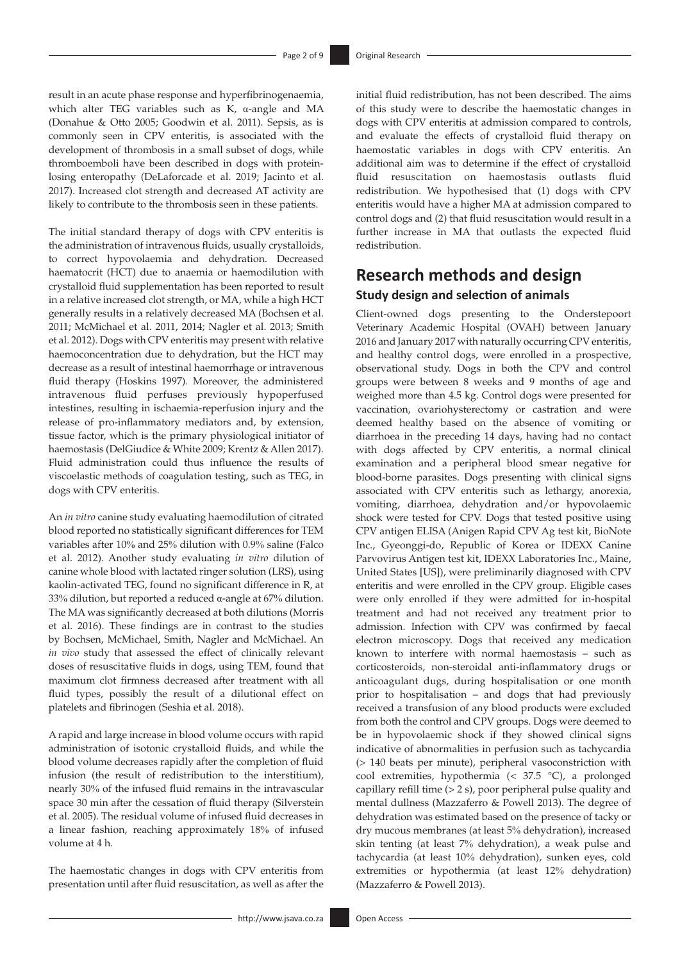result in an acute phase response and hyperfibrinogenaemia, which alter TEG variables such as K, α-angle and MA (Donahue & Otto 2005; Goodwin et al. 2011). Sepsis, as is commonly seen in CPV enteritis, is associated with the development of thrombosis in a small subset of dogs, while thromboemboli have been described in dogs with proteinlosing enteropathy (DeLaforcade et al. 2019; Jacinto et al. 2017). Increased clot strength and decreased AT activity are likely to contribute to the thrombosis seen in these patients.

The initial standard therapy of dogs with CPV enteritis is the administration of intravenous fluids, usually crystalloids, to correct hypovolaemia and dehydration. Decreased haematocrit (HCT) due to anaemia or haemodilution with crystalloid fluid supplementation has been reported to result in a relative increased clot strength, or MA, while a high HCT generally results in a relatively decreased MA (Bochsen et al. 2011; McMichael et al. 2011, 2014; Nagler et al. 2013; Smith et al. 2012). Dogs with CPV enteritis may present with relative haemoconcentration due to dehydration, but the HCT may decrease as a result of intestinal haemorrhage or intravenous fluid therapy (Hoskins 1997). Moreover, the administered intravenous fluid perfuses previously hypoperfused intestines, resulting in ischaemia-reperfusion injury and the release of pro-inflammatory mediators and, by extension, tissue factor, which is the primary physiological initiator of haemostasis (DelGiudice & White 2009; Krentz & Allen 2017). Fluid administration could thus influence the results of viscoelastic methods of coagulation testing, such as TEG, in dogs with CPV enteritis.

An *in vitro* canine study evaluating haemodilution of citrated blood reported no statistically significant differences for TEM variables after 10% and 25% dilution with 0.9% saline (Falco et al. 2012). Another study evaluating *in vitro* dilution of canine whole blood with lactated ringer solution (LRS), using kaolin-activated TEG, found no significant difference in R, at 33% dilution, but reported a reduced α-angle at 67% dilution. The MA was significantly decreased at both dilutions (Morris et al. 2016). These findings are in contrast to the studies by Bochsen, McMichael, Smith, Nagler and McMichael. An *in vivo* study that assessed the effect of clinically relevant doses of resuscitative fluids in dogs, using TEM, found that maximum clot firmness decreased after treatment with all fluid types, possibly the result of a dilutional effect on platelets and fibrinogen (Seshia et al. 2018).

A rapid and large increase in blood volume occurs with rapid administration of isotonic crystalloid fluids, and while the blood volume decreases rapidly after the completion of fluid infusion (the result of redistribution to the interstitium), nearly 30% of the infused fluid remains in the intravascular space 30 min after the cessation of fluid therapy (Silverstein et al. 2005). The residual volume of infused fluid decreases in a linear fashion, reaching approximately 18% of infused volume at 4 h.

The haemostatic changes in dogs with CPV enteritis from presentation until after fluid resuscitation, as well as after the

initial fluid redistribution, has not been described. The aims of this study were to describe the haemostatic changes in dogs with CPV enteritis at admission compared to controls, and evaluate the effects of crystalloid fluid therapy on haemostatic variables in dogs with CPV enteritis. An additional aim was to determine if the effect of crystalloid fluid resuscitation on haemostasis outlasts fluid redistribution. We hypothesised that (1) dogs with CPV enteritis would have a higher MA at admission compared to control dogs and (2) that fluid resuscitation would result in a further increase in MA that outlasts the expected fluid redistribution.

# **Research methods and design Study design and selection of animals**

Client-owned dogs presenting to the Onderstepoort Veterinary Academic Hospital (OVAH) between January 2016 and January 2017 with naturally occurring CPV enteritis, and healthy control dogs, were enrolled in a prospective, observational study. Dogs in both the CPV and control groups were between 8 weeks and 9 months of age and weighed more than 4.5 kg. Control dogs were presented for vaccination, ovariohysterectomy or castration and were deemed healthy based on the absence of vomiting or diarrhoea in the preceding 14 days, having had no contact with dogs affected by CPV enteritis, a normal clinical examination and a peripheral blood smear negative for blood-borne parasites. Dogs presenting with clinical signs associated with CPV enteritis such as lethargy, anorexia, vomiting, diarrhoea, dehydration and/or hypovolaemic shock were tested for CPV. Dogs that tested positive using CPV antigen ELISA (Anigen Rapid CPV Ag test kit, BioNote Inc., Gyeonggi-do, Republic of Korea or IDEXX Canine Parvovirus Antigen test kit, IDEXX Laboratories Inc., Maine, United States [US]), were preliminarily diagnosed with CPV enteritis and were enrolled in the CPV group. Eligible cases were only enrolled if they were admitted for in-hospital treatment and had not received any treatment prior to admission. Infection with CPV was confirmed by faecal electron microscopy. Dogs that received any medication known to interfere with normal haemostasis – such as corticosteroids, non-steroidal anti-inflammatory drugs or anticoagulant dugs, during hospitalisation or one month prior to hospitalisation – and dogs that had previously received a transfusion of any blood products were excluded from both the control and CPV groups. Dogs were deemed to be in hypovolaemic shock if they showed clinical signs indicative of abnormalities in perfusion such as tachycardia (> 140 beats per minute), peripheral vasoconstriction with cool extremities, hypothermia (< 37.5 °C), a prolonged capillary refill time (> 2 s), poor peripheral pulse quality and mental dullness (Mazzaferro & Powell 2013). The degree of dehydration was estimated based on the presence of tacky or dry mucous membranes (at least 5% dehydration), increased skin tenting (at least 7% dehydration), a weak pulse and tachycardia (at least 10% dehydration), sunken eyes, cold extremities or hypothermia (at least 12% dehydration) (Mazzaferro & Powell 2013).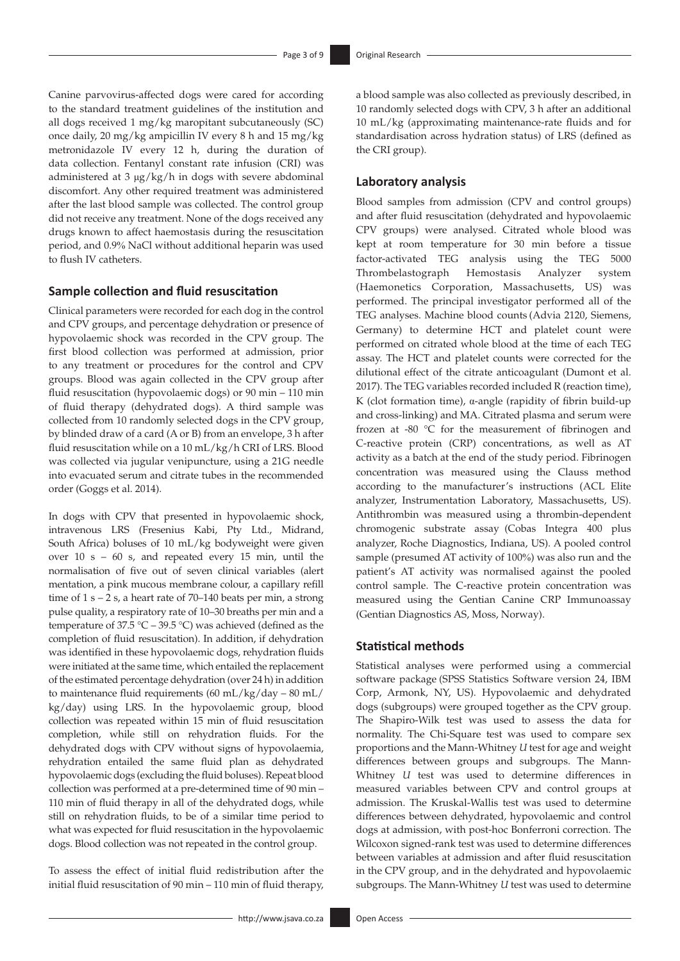Canine parvovirus-affected dogs were cared for according to the standard treatment guidelines of the institution and all dogs received 1 mg/kg maropitant subcutaneously (SC) once daily, 20 mg/kg ampicillin IV every 8 h and 15 mg/kg metronidazole IV every 12 h, during the duration of data collection. Fentanyl constant rate infusion (CRI) was administered at 3 μg/kg/h in dogs with severe abdominal discomfort. Any other required treatment was administered after the last blood sample was collected. The control group did not receive any treatment. None of the dogs received any drugs known to affect haemostasis during the resuscitation period, and 0.9% NaCl without additional heparin was used to flush IV catheters.

### **Sample collection and fluid resuscitation**

Clinical parameters were recorded for each dog in the control and CPV groups, and percentage dehydration or presence of hypovolaemic shock was recorded in the CPV group. The first blood collection was performed at admission, prior to any treatment or procedures for the control and CPV groups. Blood was again collected in the CPV group after fluid resuscitation (hypovolaemic dogs) or 90 min – 110 min of fluid therapy (dehydrated dogs). A third sample was collected from 10 randomly selected dogs in the CPV group, by blinded draw of a card (A or B) from an envelope, 3 h after fluid resuscitation while on a 10 mL/kg/h CRI of LRS. Blood was collected via jugular venipuncture, using a 21G needle into evacuated serum and citrate tubes in the recommended order (Goggs et al. 2014).

In dogs with CPV that presented in hypovolaemic shock, intravenous LRS (Fresenius Kabi, Pty Ltd., Midrand, South Africa) boluses of 10 mL/kg bodyweight were given over 10 s – 60 s, and repeated every 15 min, until the normalisation of five out of seven clinical variables (alert mentation, a pink mucous membrane colour, a capillary refill time of  $1 s - 2 s$ , a heart rate of  $70-140$  beats per min, a strong pulse quality, a respiratory rate of 10–30 breaths per min and a temperature of 37.5 °C – 39.5 °C) was achieved (defined as the completion of fluid resuscitation). In addition, if dehydration was identified in these hypovolaemic dogs, rehydration fluids were initiated at the same time, which entailed the replacement of the estimated percentage dehydration (over 24 h) in addition to maintenance fluid requirements (60 mL/kg/day – 80 mL/ kg/day) using LRS. In the hypovolaemic group, blood collection was repeated within 15 min of fluid resuscitation completion, while still on rehydration fluids. For the dehydrated dogs with CPV without signs of hypovolaemia, rehydration entailed the same fluid plan as dehydrated hypovolaemic dogs (excluding the fluid boluses). Repeat blood collection was performed at a pre-determined time of 90 min – 110 min of fluid therapy in all of the dehydrated dogs, while still on rehydration fluids, to be of a similar time period to what was expected for fluid resuscitation in the hypovolaemic dogs. Blood collection was not repeated in the control group.

To assess the effect of initial fluid redistribution after the initial fluid resuscitation of 90 min – 110 min of fluid therapy, a blood sample was also collected as previously described, in 10 randomly selected dogs with CPV, 3 h after an additional 10 mL/kg (approximating maintenance-rate fluids and for standardisation across hydration status) of LRS (defined as the CRI group).

### **Laboratory analysis**

Blood samples from admission (CPV and control groups) and after fluid resuscitation (dehydrated and hypovolaemic CPV groups) were analysed. Citrated whole blood was kept at room temperature for 30 min before a tissue factor-activated TEG analysis using the TEG 5000 Thrombelastograph Hemostasis Analyzer system (Haemonetics Corporation, Massachusetts, US) was performed. The principal investigator performed all of the TEG analyses. Machine blood counts (Advia 2120, Siemens, Germany) to determine HCT and platelet count were performed on citrated whole blood at the time of each TEG assay. The HCT and platelet counts were corrected for the dilutional effect of the citrate anticoagulant (Dumont et al. 2017). The TEG variables recorded included R (reaction time), K (clot formation time), α-angle (rapidity of fibrin build-up and cross-linking) and MA. Citrated plasma and serum were frozen at -80 °C for the measurement of fibrinogen and C-reactive protein (CRP) concentrations, as well as AT activity as a batch at the end of the study period. Fibrinogen concentration was measured using the Clauss method according to the manufacturer's instructions (ACL Elite analyzer, Instrumentation Laboratory, Massachusetts, US). Antithrombin was measured using a thrombin-dependent chromogenic substrate assay (Cobas Integra 400 plus analyzer, Roche Diagnostics, Indiana, US). A pooled control sample (presumed AT activity of 100%) was also run and the patient's AT activity was normalised against the pooled control sample. The C-reactive protein concentration was measured using the Gentian Canine CRP Immunoassay (Gentian Diagnostics AS, Moss, Norway).

### **Statistical methods**

Statistical analyses were performed using a commercial software package (SPSS Statistics Software version 24, IBM Corp, Armonk, NY, US). Hypovolaemic and dehydrated dogs (subgroups) were grouped together as the CPV group. The Shapiro-Wilk test was used to assess the data for normality. The Chi-Square test was used to compare sex proportions and the Mann-Whitney *U* test for age and weight differences between groups and subgroups. The Mann-Whitney *U* test was used to determine differences in measured variables between CPV and control groups at admission. The Kruskal-Wallis test was used to determine differences between dehydrated, hypovolaemic and control dogs at admission, with post-hoc Bonferroni correction. The Wilcoxon signed-rank test was used to determine differences between variables at admission and after fluid resuscitation in the CPV group, and in the dehydrated and hypovolaemic subgroups. The Mann-Whitney *U* test was used to determine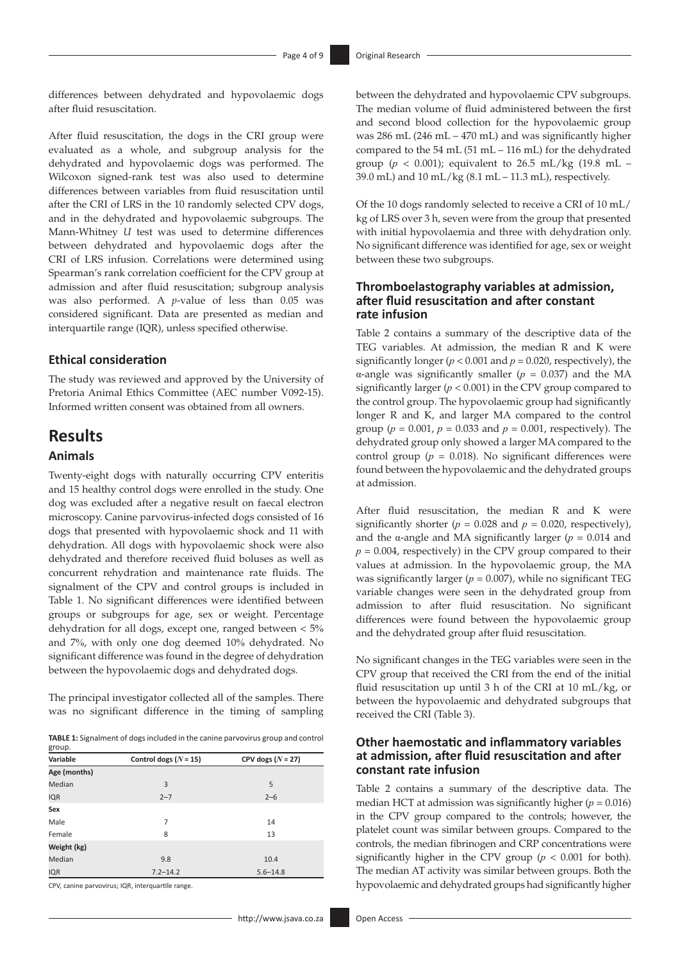differences between dehydrated and hypovolaemic dogs after fluid resuscitation.

After fluid resuscitation, the dogs in the CRI group were evaluated as a whole, and subgroup analysis for the dehydrated and hypovolaemic dogs was performed. The Wilcoxon signed-rank test was also used to determine differences between variables from fluid resuscitation until after the CRI of LRS in the 10 randomly selected CPV dogs, and in the dehydrated and hypovolaemic subgroups. The Mann-Whitney *U* test was used to determine differences between dehydrated and hypovolaemic dogs after the CRI of LRS infusion. Correlations were determined using Spearman's rank correlation coefficient for the CPV group at admission and after fluid resuscitation; subgroup analysis was also performed. A *p*-value of less than 0.05 was considered significant. Data are presented as median and interquartile range (IQR), unless specified otherwise.

### **Ethical consideration**

The study was reviewed and approved by the University of Pretoria Animal Ethics Committee (AEC number V092-15). Informed written consent was obtained from all owners.

## **Results Animals**

Twenty-eight dogs with naturally occurring CPV enteritis and 15 healthy control dogs were enrolled in the study. One dog was excluded after a negative result on faecal electron microscopy. Canine parvovirus-infected dogs consisted of 16 dogs that presented with hypovolaemic shock and 11 with dehydration. All dogs with hypovolaemic shock were also dehydrated and therefore received fluid boluses as well as concurrent rehydration and maintenance rate fluids. The signalment of the CPV and control groups is included in Table 1. No significant differences were identified between groups or subgroups for age, sex or weight. Percentage dehydration for all dogs, except one, ranged between < 5% and 7%, with only one dog deemed 10% dehydrated. No significant difference was found in the degree of dehydration between the hypovolaemic dogs and dehydrated dogs.

The principal investigator collected all of the samples. There was no significant difference in the timing of sampling

**TABLE 1:** Signalment of dogs included in the canine parvovirus group and control group.

| Variable     | Control dogs $(N = 15)$ | CPV dogs $(N = 27)$ |  |  |
|--------------|-------------------------|---------------------|--|--|
| Age (months) |                         |                     |  |  |
| Median       | 3                       | 5                   |  |  |
| <b>IQR</b>   | $2 - 7$                 | $2 - 6$             |  |  |
| Sex          |                         |                     |  |  |
| Male         | 7                       | 14                  |  |  |
| Female       | 8                       | 13                  |  |  |
| Weight (kg)  |                         |                     |  |  |
| Median       | 9.8                     | 10.4                |  |  |
| <b>IQR</b>   | $7.2 - 14.2$            | $5.6 - 14.8$        |  |  |

CPV, canine parvovirus; IQR, interquartile range.

between the dehydrated and hypovolaemic CPV subgroups. The median volume of fluid administered between the first and second blood collection for the hypovolaemic group was 286 mL (246 mL – 470 mL) and was significantly higher compared to the 54 mL (51 mL – 116 mL) for the dehydrated group ( $p < 0.001$ ); equivalent to 26.5 mL/kg (19.8 mL – 39.0 mL) and  $10 \text{ mL/kg}$  (8.1 mL – 11.3 mL), respectively.

Of the 10 dogs randomly selected to receive a CRI of 10 mL/ kg of LRS over 3 h, seven were from the group that presented with initial hypovolaemia and three with dehydration only. No significant difference was identified for age, sex or weight between these two subgroups.

### **Thromboelastography variables at admission, after fluid resuscitation and after constant rate infusion**

Table 2 contains a summary of the descriptive data of the TEG variables. At admission, the median R and K were significantly longer ( $p < 0.001$  and  $p = 0.020$ , respectively), the α-angle was significantly smaller (*p* = 0.037) and the MA significantly larger  $(p < 0.001)$  in the CPV group compared to the control group. The hypovolaemic group had significantly longer R and K, and larger MA compared to the control group ( $p = 0.001$ ,  $p = 0.033$  and  $p = 0.001$ , respectively). The dehydrated group only showed a larger MA compared to the control group ( $p = 0.018$ ). No significant differences were found between the hypovolaemic and the dehydrated groups at admission.

After fluid resuscitation, the median R and K were significantly shorter ( $p = 0.028$  and  $p = 0.020$ , respectively), and the  $\alpha$ -angle and MA significantly larger ( $p = 0.014$  and  $p = 0.004$ , respectively) in the CPV group compared to their values at admission. In the hypovolaemic group, the MA was significantly larger ( $p = 0.007$ ), while no significant TEG variable changes were seen in the dehydrated group from admission to after fluid resuscitation. No significant differences were found between the hypovolaemic group and the dehydrated group after fluid resuscitation.

No significant changes in the TEG variables were seen in the CPV group that received the CRI from the end of the initial fluid resuscitation up until 3 h of the CRI at 10 mL/kg, or between the hypovolaemic and dehydrated subgroups that received the CRI (Table 3).

### **Other haemostatic and inflammatory variables at admission, after fluid resuscitation and after constant rate infusion**

Table 2 contains a summary of the descriptive data. The median HCT at admission was significantly higher  $(p = 0.016)$ in the CPV group compared to the controls; however, the platelet count was similar between groups. Compared to the controls, the median fibrinogen and CRP concentrations were significantly higher in the CPV group ( $p < 0.001$  for both). The median AT activity was similar between groups. Both the hypovolaemic and dehydrated groups had significantly higher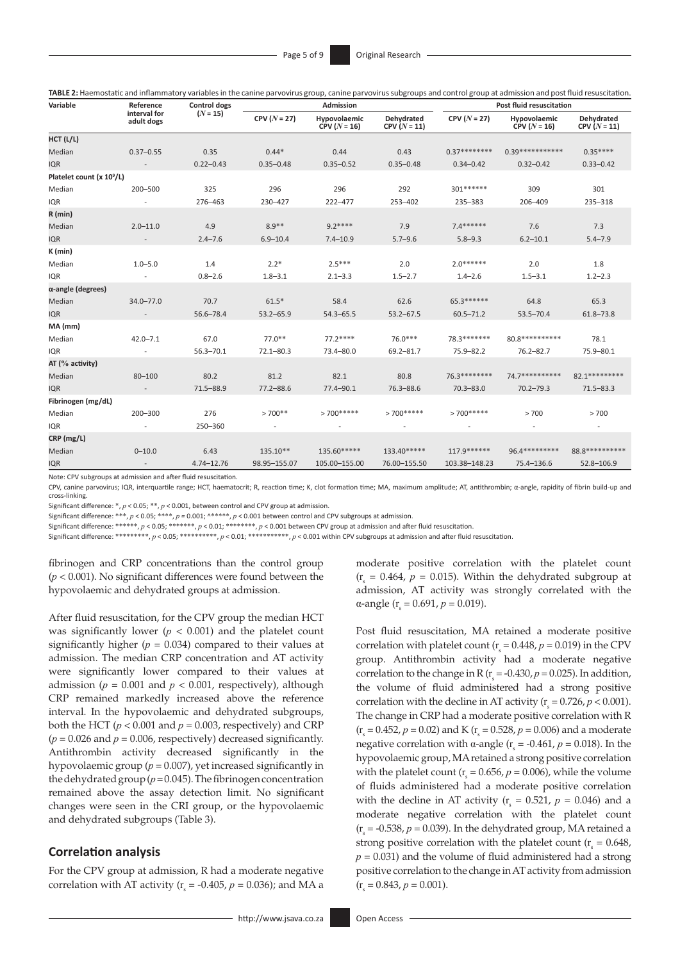| TABLE 2: Haemostatic and inflammatory variables in the canine parvovirus group, canine parvovirus subgroups and control group at admission and post fluid resuscitation. |  |  |  |
|--------------------------------------------------------------------------------------------------------------------------------------------------------------------------|--|--|--|
|                                                                                                                                                                          |  |  |  |

| Variable                              | Reference                  | Control dogs<br>$(N = 15)$ | <b>Admission</b> |                                |                              | Post fluid resuscitation |                                |                              |
|---------------------------------------|----------------------------|----------------------------|------------------|--------------------------------|------------------------------|--------------------------|--------------------------------|------------------------------|
|                                       | interval for<br>adult dogs |                            | $CPV (N = 27)$   | Hypovolaemic<br>$CPV (N = 16)$ | Dehydrated<br>CPV $(N = 11)$ | $CPV (N = 27)$           | Hypovolaemic<br>$CPV (N = 16)$ | Dehydrated<br>CPV $(N = 11)$ |
| HCT (L/L)                             |                            |                            |                  |                                |                              |                          |                                |                              |
| Median                                | $0.37 - 0.55$              | 0.35                       | $0.44*$          | 0.44                           | 0.43                         | $0.37*********$          | $0.39****************$         | $0.35***$                    |
| <b>IQR</b>                            |                            | $0.22 - 0.43$              | $0.35 - 0.48$    | $0.35 - 0.52$                  | $0.35 - 0.48$                | $0.34 - 0.42$            | $0.32 - 0.42$                  | $0.33 - 0.42$                |
| Platelet count (x 10 <sup>9</sup> /L) |                            |                            |                  |                                |                              |                          |                                |                              |
| Median                                | 200-500                    | 325                        | 296              | 296                            | 292                          | 301 *******              | 309                            | 301                          |
| <b>IQR</b>                            |                            | 276-463                    | 230-427          | 222-477                        | 253-402                      | 235-383                  | 206-409                        | 235-318                      |
| R (min)                               |                            |                            |                  |                                |                              |                          |                                |                              |
| Median                                | $2.0 - 11.0$               | 4.9                        | $8.9**$          | $9.2***$                       | 7.9                          | $7.4******$              | 7.6                            | 7.3                          |
| <b>IQR</b>                            |                            | $2.4 - 7.6$                | $6.9 - 10.4$     | $7.4 - 10.9$                   | $5.7 - 9.6$                  | $5.8 - 9.3$              | $6.2 - 10.1$                   | $5.4 - 7.9$                  |
| K (min)                               |                            |                            |                  |                                |                              |                          |                                |                              |
| Median                                | $1.0 - 5.0$                | 1.4                        | $2.2*$           | $2.5***$                       | 2.0                          | $2.0******$              | 2.0                            | 1.8                          |
| <b>IQR</b>                            |                            | $0.8 - 2.6$                | $1.8 - 3.1$      | $2.1 - 3.3$                    | $1.5 - 2.7$                  | $1.4 - 2.6$              | $1.5 - 3.1$                    | $1.2 - 2.3$                  |
| α-angle (degrees)                     |                            |                            |                  |                                |                              |                          |                                |                              |
| Median                                | $34.0 - 77.0$              | 70.7                       | $61.5*$          | 58.4                           | 62.6                         | 65.3******               | 64.8                           | 65.3                         |
| <b>IQR</b>                            |                            | 56.6-78.4                  | $53.2 - 65.9$    | $54.3 - 65.5$                  | $53.2 - 67.5$                | $60.5 - 71.2$            | $53.5 - 70.4$                  | $61.8 - 73.8$                |
| MA (mm)                               |                            |                            |                  |                                |                              |                          |                                |                              |
| Median                                | $42.0 - 7.1$               | 67.0                       | $77.0**$         | $77.2***$                      | $76.0***$                    | 78.3*******              | 80.8***********                | 78.1                         |
| <b>IQR</b>                            |                            | $56.3 - 70.1$              | $72.1 - 80.3$    | 73.4-80.0                      | $69.2 - 81.7$                | $75.9 - 82.2$            | $76.2 - 82.7$                  | 75.9-80.1                    |
| AT ( $\%$ activity)                   |                            |                            |                  |                                |                              |                          |                                |                              |
| Median                                | $80 - 100$                 | 80.2                       | 81.2             | 82.1                           | 80.8                         | 76.3********             | 74.7**********                 | 82.1 **********              |
| <b>IQR</b>                            | $\overline{\phantom{a}}$   | $71.5 - 88.9$              | $77.2 - 88.6$    | 77.4-90.1                      | $76.3 - 88.6$                | $70.3 - 83.0$            | $70.2 - 79.3$                  | $71.5 - 83.3$                |
| Fibrinogen (mg/dL)                    |                            |                            |                  |                                |                              |                          |                                |                              |
| Median                                | 200-300                    | 276                        | $>700**$         | $>700*****$                    | $>700*****$                  | $>700*****$              | >700                           | >700                         |
| <b>IQR</b>                            |                            | 250-360                    |                  |                                |                              |                          |                                |                              |
| CRP (mg/L)                            |                            |                            |                  |                                |                              |                          |                                |                              |
| Median                                | $0 - 10.0$                 | 6.43                       | 135.10**         | 135.60*****                    | 133.40*****                  | 117.9******              | 96.4*********                  | 88.8***********              |
| <b>IQR</b>                            |                            | $4.74 - 12.76$             | 98.95-155.07     | 105.00-155.00                  | 76.00-155.50                 | 103.38-148.23            | 75.4-136.6                     | 52.8-106.9                   |

Note: CPV subgroups at admission and after fluid resuscitation.

CPV, canine parvovirus; IQR, interquartile range; HCT, haematocrit; R, reaction time; K, clot formation time; MA, maximum amplitude; AT, antithrombin; α-angle, rapidity of fibrin build-up and cross-linking.

Significant difference: \*, *p* < 0.05; \*\*, *p* < 0.001, between control and CPV group at admission.

Significant difference: \*\*\*,  $p < 0.05$ ; \*\*\*\*,  $p = 0.001$ ; ^\*\*\*\*\*,  $p < 0.001$  between control and CPV subgroups at admission.

Significant difference: \*\*\*\*\*\*, *p* < 0.05; \*\*\*\*\*\*\*, *p* < 0.01; \*\*\*\*\*\*\*, *p* < 0.001 between CPV group at admission and after fluid resuscitation.

Significant difference: \*\*\*\*\*\*\*\*, *p* < 0.05; \*\*\*\*\*\*\*\*\*\*, *p* < 0.01; \*\*\*\*\*\*\*\*\*\*, *p* < 0.001 within CPV subgroups at admission and after fluid resuscitation.

fibrinogen and CRP concentrations than the control group (*p* < 0.001). No significant differences were found between the hypovolaemic and dehydrated groups at admission.

After fluid resuscitation, for the CPV group the median HCT was significantly lower  $(p < 0.001)$  and the platelet count significantly higher  $(p = 0.034)$  compared to their values at admission. The median CRP concentration and AT activity were significantly lower compared to their values at admission ( $p = 0.001$  and  $p < 0.001$ , respectively), although CRP remained markedly increased above the reference interval. In the hypovolaemic and dehydrated subgroups, both the HCT ( $p < 0.001$  and  $p = 0.003$ , respectively) and CRP  $(p = 0.026$  and  $p = 0.006$ , respectively) decreased significantly. Antithrombin activity decreased significantly in the hypovolaemic group (*p* = 0.007), yet increased significantly in the dehydrated group (*p*= 0.045). The fibrinogen concentration remained above the assay detection limit. No significant changes were seen in the CRI group, or the hypovolaemic and dehydrated subgroups (Table 3).

#### **Correlation analysis**

For the CPV group at admission, R had a moderate negative correlation with AT activity ( $r_s = -0.405$ ,  $p = 0.036$ ); and MA a moderate positive correlation with the platelet count  $(r<sub>s</sub> = 0.464, p = 0.015)$ . Within the dehydrated subgroup at admission, AT activity was strongly correlated with the  $\alpha$ -angle (r<sub>s</sub> = 0.691, *p* = 0.019).

Post fluid resuscitation, MA retained a moderate positive correlation with platelet count ( $r_s$  = 0.448,  $p$  = 0.019) in the CPV group. Antithrombin activity had a moderate negative correlation to the change in R ( $r_s = -0.430$ ,  $p = 0.025$ ). In addition, the volume of fluid administered had a strong positive correlation with the decline in AT activity ( $r_s = 0.726$ ,  $p < 0.001$ ). The change in CRP had a moderate positive correlation with R  $(r<sub>s</sub> = 0.452, p = 0.02)$  and K ( $r<sub>s</sub> = 0.528, p = 0.006$ ) and a moderate negative correlation with  $\alpha$ -angle ( $r_s = -0.461$ ,  $p = 0.018$ ). In the hypovolaemic group, MA retained a strong positive correlation with the platelet count ( $r_s = 0.656$ ,  $p = 0.006$ ), while the volume of fluids administered had a moderate positive correlation with the decline in AT activity ( $r<sub>s</sub> = 0.521$ ,  $p = 0.046$ ) and a moderate negative correlation with the platelet count  $(r<sub>s</sub> = -0.538, p = 0.039)$ . In the dehydrated group, MA retained a strong positive correlation with the platelet count ( $r_s = 0.648$ ),  $p = 0.031$ ) and the volume of fluid administered had a strong positive correlation to the change in AT activity from admission  $(r<sub>s</sub> = 0.843, p = 0.001).$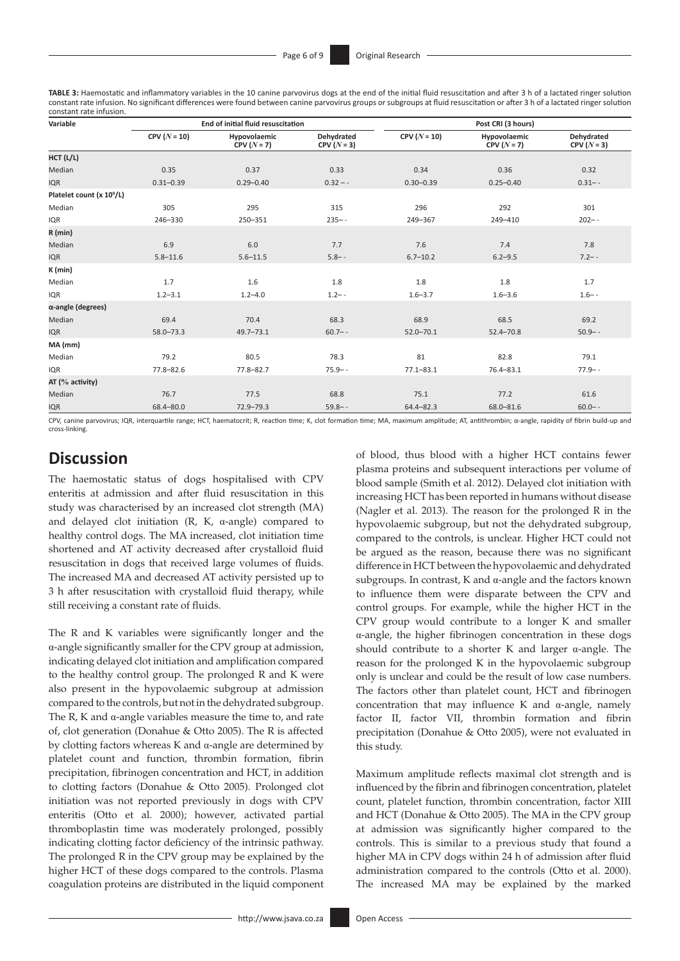**TABLE 3:** Haemostatic and inflammatory variables in the 10 canine parvovirus dogs at the end of the initial fluid resuscitation and after 3 h of a lactated ringer solution constant rate infusion. No significant differences were found between canine parvovirus groups or subgroups at fluid resuscitation or after 3 h of a lactated ringer solution constant rate infusion.

| Variable                              |                | End of initial fluid resuscitation |                          | Post CRI (3 hours) |                               |                                 |  |
|---------------------------------------|----------------|------------------------------------|--------------------------|--------------------|-------------------------------|---------------------------------|--|
|                                       | $CPV (N = 10)$ | Hypovolaemic<br>$CPV (N = 7)$      | Dehydrated<br>$CPV(N=3)$ | $CPV (N = 10)$     | Hypovolaemic<br>$CPV (N = 7)$ | <b>Dehvdrated</b><br>$CPV(N=3)$ |  |
| HCT (L/L)                             |                |                                    |                          |                    |                               |                                 |  |
| Median                                | 0.35           | 0.37                               | 0.33                     | 0.34               | 0.36                          | 0.32                            |  |
| <b>IQR</b>                            | $0.31 - 0.39$  | $0.29 - 0.40$                      | $0.32 - -$               | $0.30 - 0.39$      | $0.25 - 0.40$                 | $0.31 - -$                      |  |
| Platelet count (x 10 <sup>9</sup> /L) |                |                                    |                          |                    |                               |                                 |  |
| Median                                | 305            | 295                                | 315                      | 296                | 292                           | 301                             |  |
| IQR                                   | 246-330        | 250-351                            | $235 - -$                | 249-367            | 249-410                       | $202 - -$                       |  |
| R (min)                               |                |                                    |                          |                    |                               |                                 |  |
| Median                                | 6.9            | 6.0                                | 7.7                      | 7.6                | 7.4                           | 7.8                             |  |
| <b>IQR</b>                            | $5.8 - 11.6$   | $5.6 - 11.5$                       | $5.8 - -$                | $6.7 - 10.2$       | $6.2 - 9.5$                   | $7.2 - -$                       |  |
| K (min)                               |                |                                    |                          |                    |                               |                                 |  |
| Median                                | 1.7            | 1.6                                | 1.8                      | 1.8                | 1.8                           | 1.7                             |  |
| <b>IQR</b>                            | $1.2 - 3.1$    | $1.2 - 4.0$                        | $1.2 - -$                | $1.6 - 3.7$        | $1.6 - 3.6$                   | $1.6 - -$                       |  |
| α-angle (degrees)                     |                |                                    |                          |                    |                               |                                 |  |
| Median                                | 69.4           | 70.4                               | 68.3                     | 68.9               | 68.5                          | 69.2                            |  |
| <b>IQR</b>                            | $58.0 - 73.3$  | $49.7 - 73.1$                      | $60.7 - -$               | $52.0 - 70.1$      | $52.4 - 70.8$                 | $50.9 - -$                      |  |
| MA (mm)                               |                |                                    |                          |                    |                               |                                 |  |
| Median                                | 79.2           | 80.5                               | 78.3                     | 81                 | 82.8                          | 79.1                            |  |
| <b>IQR</b>                            | $77.8 - 82.6$  | $77.8 - 82.7$                      | $75.9 - -$               | $77.1 - 83.1$      | 76.4-83.1                     | $77.9 - -$                      |  |
| AT (% activity)                       |                |                                    |                          |                    |                               |                                 |  |
| Median                                | 76.7           | 77.5                               | 68.8                     | 75.1               | 77.2                          | 61.6                            |  |
| <b>IQR</b>                            | 68.4-80.0      | $72.9 - 79.3$                      | $59.8 - -$               | $64.4 - 82.3$      | 68.0-81.6                     | $60.0 - -$                      |  |

CPV, canine parvovirus; IQR, interquartile range; HCT, haematocrit; R, reaction time; K, clot formation time; MA, maximum amplitude; AT, antithrombin; α-angle, rapidity of fibrin build-up and cross-linking.

# **Discussion**

The haemostatic status of dogs hospitalised with CPV enteritis at admission and after fluid resuscitation in this study was characterised by an increased clot strength (MA) and delayed clot initiation (R, K, α-angle) compared to healthy control dogs. The MA increased, clot initiation time shortened and AT activity decreased after crystalloid fluid resuscitation in dogs that received large volumes of fluids. The increased MA and decreased AT activity persisted up to 3 h after resuscitation with crystalloid fluid therapy, while still receiving a constant rate of fluids.

The R and K variables were significantly longer and the α-angle significantly smaller for the CPV group at admission, indicating delayed clot initiation and amplification compared to the healthy control group. The prolonged R and K were also present in the hypovolaemic subgroup at admission compared to the controls, but not in the dehydrated subgroup. The R, K and  $\alpha$ -angle variables measure the time to, and rate of, clot generation (Donahue & Otto 2005). The R is affected by clotting factors whereas K and α-angle are determined by platelet count and function, thrombin formation, fibrin precipitation, fibrinogen concentration and HCT, in addition to clotting factors (Donahue & Otto 2005). Prolonged clot initiation was not reported previously in dogs with CPV enteritis (Otto et al. 2000); however, activated partial thromboplastin time was moderately prolonged, possibly indicating clotting factor deficiency of the intrinsic pathway. The prolonged R in the CPV group may be explained by the higher HCT of these dogs compared to the controls. Plasma coagulation proteins are distributed in the liquid component

of blood, thus blood with a higher HCT contains fewer plasma proteins and subsequent interactions per volume of blood sample (Smith et al. 2012). Delayed clot initiation with increasing HCT has been reported in humans without disease (Nagler et al. 2013). The reason for the prolonged R in the hypovolaemic subgroup, but not the dehydrated subgroup, compared to the controls, is unclear. Higher HCT could not be argued as the reason, because there was no significant difference in HCT between the hypovolaemic and dehydrated subgroups. In contrast, K and α-angle and the factors known to influence them were disparate between the CPV and control groups. For example, while the higher HCT in the CPV group would contribute to a longer K and smaller α-angle, the higher fibrinogen concentration in these dogs should contribute to a shorter K and larger α-angle. The reason for the prolonged K in the hypovolaemic subgroup only is unclear and could be the result of low case numbers. The factors other than platelet count, HCT and fibrinogen concentration that may influence K and α-angle, namely factor II, factor VII, thrombin formation and fibrin precipitation (Donahue & Otto 2005), were not evaluated in this study.

Maximum amplitude reflects maximal clot strength and is influenced by the fibrin and fibrinogen concentration, platelet count, platelet function, thrombin concentration, factor XIII and HCT (Donahue & Otto 2005). The MA in the CPV group at admission was significantly higher compared to the controls. This is similar to a previous study that found a higher MA in CPV dogs within 24 h of admission after fluid administration compared to the controls (Otto et al. 2000). The increased MA may be explained by the marked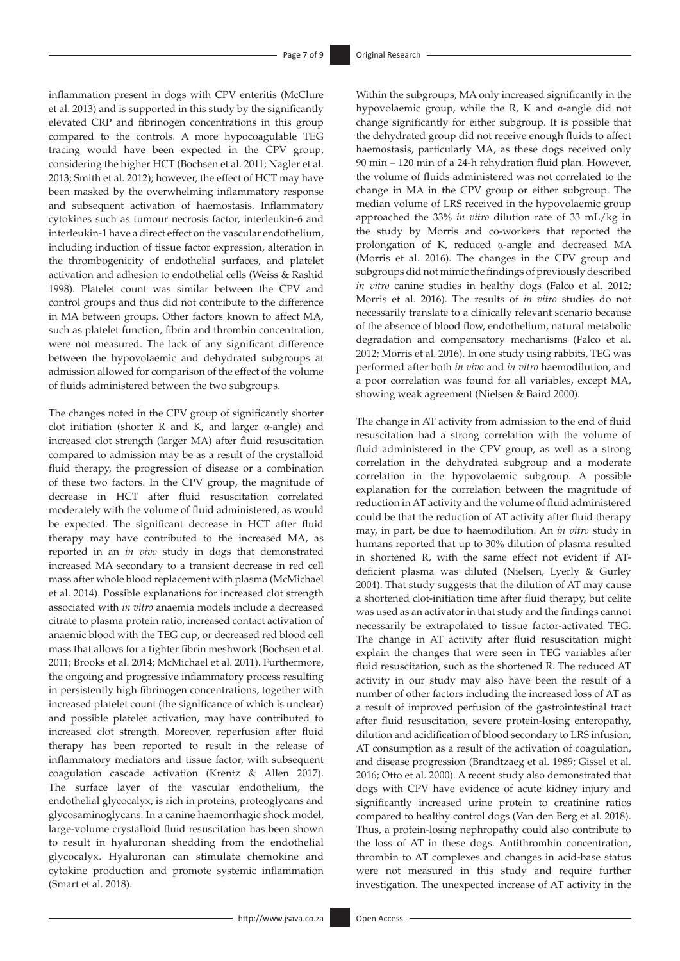inflammation present in dogs with CPV enteritis (McClure et al. 2013) and is supported in this study by the significantly elevated CRP and fibrinogen concentrations in this group compared to the controls. A more hypocoagulable TEG tracing would have been expected in the CPV group, considering the higher HCT (Bochsen et al. 2011; Nagler et al. 2013; Smith et al. 2012); however, the effect of HCT may have been masked by the overwhelming inflammatory response and subsequent activation of haemostasis. Inflammatory cytokines such as tumour necrosis factor, interleukin-6 and interleukin-1 have a direct effect on the vascular endothelium, including induction of tissue factor expression, alteration in the thrombogenicity of endothelial surfaces, and platelet activation and adhesion to endothelial cells (Weiss & Rashid 1998). Platelet count was similar between the CPV and control groups and thus did not contribute to the difference in MA between groups. Other factors known to affect MA, such as platelet function, fibrin and thrombin concentration, were not measured. The lack of any significant difference between the hypovolaemic and dehydrated subgroups at admission allowed for comparison of the effect of the volume of fluids administered between the two subgroups.

The changes noted in the CPV group of significantly shorter clot initiation (shorter R and K, and larger α-angle) and increased clot strength (larger MA) after fluid resuscitation compared to admission may be as a result of the crystalloid fluid therapy, the progression of disease or a combination of these two factors. In the CPV group, the magnitude of decrease in HCT after fluid resuscitation correlated moderately with the volume of fluid administered, as would be expected. The significant decrease in HCT after fluid therapy may have contributed to the increased MA, as reported in an *in vivo* study in dogs that demonstrated increased MA secondary to a transient decrease in red cell mass after whole blood replacement with plasma (McMichael et al. 2014). Possible explanations for increased clot strength associated with *in vitro* anaemia models include a decreased citrate to plasma protein ratio, increased contact activation of anaemic blood with the TEG cup, or decreased red blood cell mass that allows for a tighter fibrin meshwork (Bochsen et al. 2011; Brooks et al. 2014; McMichael et al. 2011). Furthermore, the ongoing and progressive inflammatory process resulting in persistently high fibrinogen concentrations, together with increased platelet count (the significance of which is unclear) and possible platelet activation, may have contributed to increased clot strength. Moreover, reperfusion after fluid therapy has been reported to result in the release of inflammatory mediators and tissue factor, with subsequent coagulation cascade activation (Krentz & Allen 2017). The surface layer of the vascular endothelium, the endothelial glycocalyx, is rich in proteins, proteoglycans and glycosaminoglycans. In a canine haemorrhagic shock model, large-volume crystalloid fluid resuscitation has been shown to result in hyaluronan shedding from the endothelial glycocalyx. Hyaluronan can stimulate chemokine and cytokine production and promote systemic inflammation (Smart et al. 2018).

Within the subgroups, MA only increased significantly in the hypovolaemic group, while the R, K and α-angle did not change significantly for either subgroup. It is possible that the dehydrated group did not receive enough fluids to affect haemostasis, particularly MA, as these dogs received only 90 min – 120 min of a 24-h rehydration fluid plan. However, the volume of fluids administered was not correlated to the change in MA in the CPV group or either subgroup. The median volume of LRS received in the hypovolaemic group approached the 33% *in vitro* dilution rate of 33 mL/kg in the study by Morris and co-workers that reported the prolongation of K, reduced α-angle and decreased MA (Morris et al. 2016). The changes in the CPV group and subgroups did not mimic the findings of previously described *in vitro* canine studies in healthy dogs (Falco et al. 2012; Morris et al. 2016). The results of *in vitro* studies do not necessarily translate to a clinically relevant scenario because of the absence of blood flow, endothelium, natural metabolic degradation and compensatory mechanisms (Falco et al. 2012; Morris et al. 2016). In one study using rabbits, TEG was performed after both *in vivo* and *in vitro* haemodilution, and a poor correlation was found for all variables, except MA, showing weak agreement (Nielsen & Baird 2000).

The change in AT activity from admission to the end of fluid resuscitation had a strong correlation with the volume of fluid administered in the CPV group, as well as a strong correlation in the dehydrated subgroup and a moderate correlation in the hypovolaemic subgroup. A possible explanation for the correlation between the magnitude of reduction in AT activity and the volume of fluid administered could be that the reduction of AT activity after fluid therapy may, in part, be due to haemodilution. An *in vitro* study in humans reported that up to 30% dilution of plasma resulted in shortened R, with the same effect not evident if ATdeficient plasma was diluted (Nielsen, Lyerly & Gurley 2004). That study suggests that the dilution of AT may cause a shortened clot-initiation time after fluid therapy, but celite was used as an activator in that study and the findings cannot necessarily be extrapolated to tissue factor-activated TEG. The change in AT activity after fluid resuscitation might explain the changes that were seen in TEG variables after fluid resuscitation, such as the shortened R. The reduced AT activity in our study may also have been the result of a number of other factors including the increased loss of AT as a result of improved perfusion of the gastrointestinal tract after fluid resuscitation, severe protein-losing enteropathy, dilution and acidification of blood secondary to LRS infusion, AT consumption as a result of the activation of coagulation, and disease progression (Brandtzaeg et al. 1989; Gissel et al. 2016; Otto et al. 2000). A recent study also demonstrated that dogs with CPV have evidence of acute kidney injury and significantly increased urine protein to creatinine ratios compared to healthy control dogs (Van den Berg et al. 2018). Thus, a protein-losing nephropathy could also contribute to the loss of AT in these dogs. Antithrombin concentration, thrombin to AT complexes and changes in acid-base status were not measured in this study and require further investigation. The unexpected increase of AT activity in the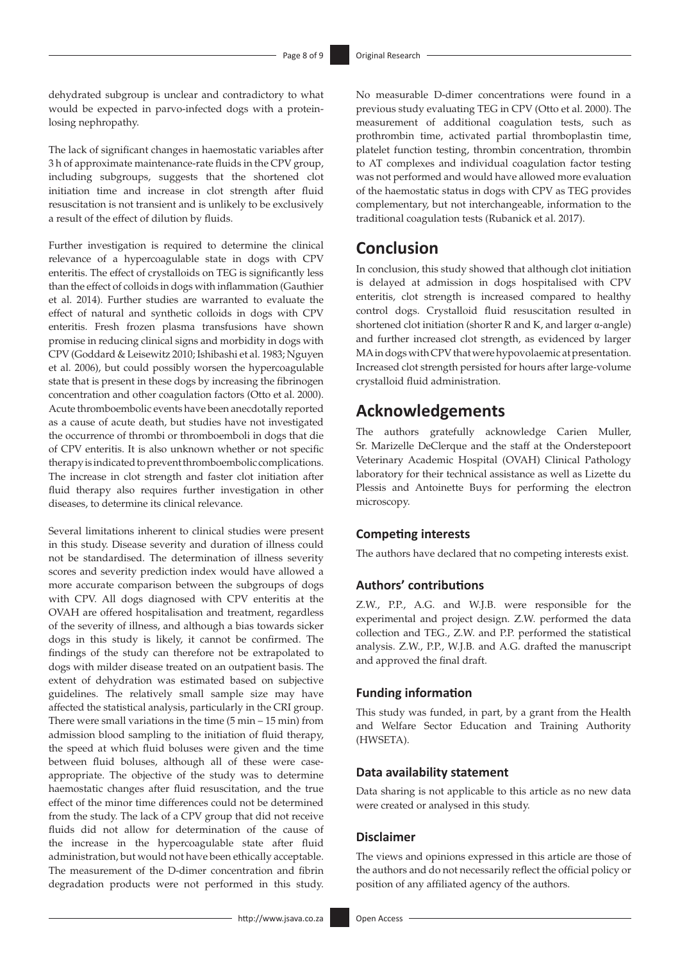dehydrated subgroup is unclear and contradictory to what would be expected in parvo-infected dogs with a proteinlosing nephropathy.

The lack of significant changes in haemostatic variables after 3 h of approximate maintenance-rate fluids in the CPV group, including subgroups, suggests that the shortened clot initiation time and increase in clot strength after fluid resuscitation is not transient and is unlikely to be exclusively a result of the effect of dilution by fluids.

Further investigation is required to determine the clinical relevance of a hypercoagulable state in dogs with CPV enteritis. The effect of crystalloids on TEG is significantly less than the effect of colloids in dogs with inflammation (Gauthier et al. 2014). Further studies are warranted to evaluate the effect of natural and synthetic colloids in dogs with CPV enteritis. Fresh frozen plasma transfusions have shown promise in reducing clinical signs and morbidity in dogs with CPV (Goddard & Leisewitz 2010; Ishibashi et al. 1983; Nguyen et al. 2006), but could possibly worsen the hypercoagulable state that is present in these dogs by increasing the fibrinogen concentration and other coagulation factors (Otto et al. 2000). Acute thromboembolic events have been anecdotally reported as a cause of acute death, but studies have not investigated the occurrence of thrombi or thromboemboli in dogs that die of CPV enteritis. It is also unknown whether or not specific therapy is indicated to prevent thromboembolic complications. The increase in clot strength and faster clot initiation after fluid therapy also requires further investigation in other diseases, to determine its clinical relevance.

Several limitations inherent to clinical studies were present in this study. Disease severity and duration of illness could not be standardised. The determination of illness severity scores and severity prediction index would have allowed a more accurate comparison between the subgroups of dogs with CPV. All dogs diagnosed with CPV enteritis at the OVAH are offered hospitalisation and treatment, regardless of the severity of illness, and although a bias towards sicker dogs in this study is likely, it cannot be confirmed. The findings of the study can therefore not be extrapolated to dogs with milder disease treated on an outpatient basis. The extent of dehydration was estimated based on subjective guidelines. The relatively small sample size may have affected the statistical analysis, particularly in the CRI group. There were small variations in the time (5 min – 15 min) from admission blood sampling to the initiation of fluid therapy, the speed at which fluid boluses were given and the time between fluid boluses, although all of these were caseappropriate. The objective of the study was to determine haemostatic changes after fluid resuscitation, and the true effect of the minor time differences could not be determined from the study. The lack of a CPV group that did not receive fluids did not allow for determination of the cause of the increase in the hypercoagulable state after fluid administration, but would not have been ethically acceptable. The measurement of the D-dimer concentration and fibrin degradation products were not performed in this study.

No measurable D-dimer concentrations were found in a previous study evaluating TEG in CPV (Otto et al. 2000). The measurement of additional coagulation tests, such as prothrombin time, activated partial thromboplastin time, platelet function testing, thrombin concentration, thrombin to AT complexes and individual coagulation factor testing was not performed and would have allowed more evaluation of the haemostatic status in dogs with CPV as TEG provides complementary, but not interchangeable, information to the traditional coagulation tests (Rubanick et al. 2017).

# **Conclusion**

In conclusion, this study showed that although clot initiation is delayed at admission in dogs hospitalised with CPV enteritis, clot strength is increased compared to healthy control dogs. Crystalloid fluid resuscitation resulted in shortened clot initiation (shorter R and K, and larger α-angle) and further increased clot strength, as evidenced by larger MA in dogs with CPV that were hypovolaemic at presentation. Increased clot strength persisted for hours after large-volume crystalloid fluid administration.

# **Acknowledgements**

The authors gratefully acknowledge Carien Muller, Sr. Marizelle DeClerque and the staff at the Onderstepoort Veterinary Academic Hospital (OVAH) Clinical Pathology laboratory for their technical assistance as well as Lizette du Plessis and Antoinette Buys for performing the electron microscopy.

### **Competing interests**

The authors have declared that no competing interests exist.

### **Authors' contributions**

Z.W., P.P., A.G. and W.J.B. were responsible for the experimental and project design. Z.W. performed the data collection and TEG., Z.W. and P.P. performed the statistical analysis. Z.W., P.P., W.J.B. and A.G. drafted the manuscript and approved the final draft.

### **Funding information**

This study was funded, in part, by a grant from the Health and Welfare Sector Education and Training Authority (HWSETA).

### **Data availability statement**

Data sharing is not applicable to this article as no new data were created or analysed in this study.

### **Disclaimer**

The views and opinions expressed in this article are those of the authors and do not necessarily reflect the official policy or position of any affiliated agency of the authors.